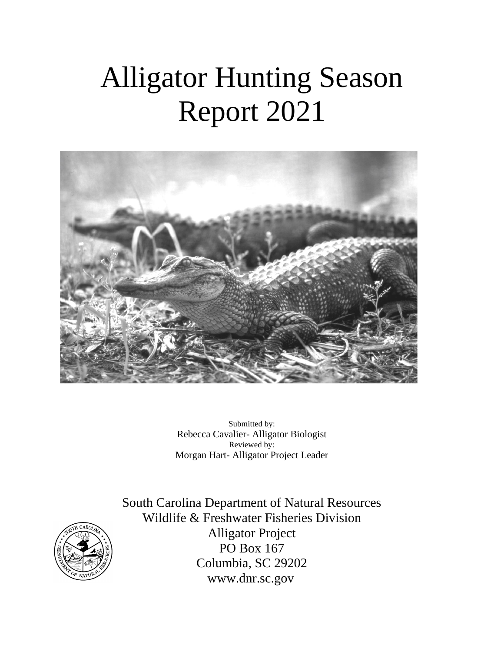# Alligator Hunting Season Report 2021



Submitted by: Rebecca Cavalier- Alligator Biologist Reviewed by: Morgan Hart- Alligator Project Leader



South Carolina Department of Natural Resources Wildlife & Freshwater Fisheries Division Alligator Project PO Box 167 Columbia, SC 29202 www.dnr.sc.gov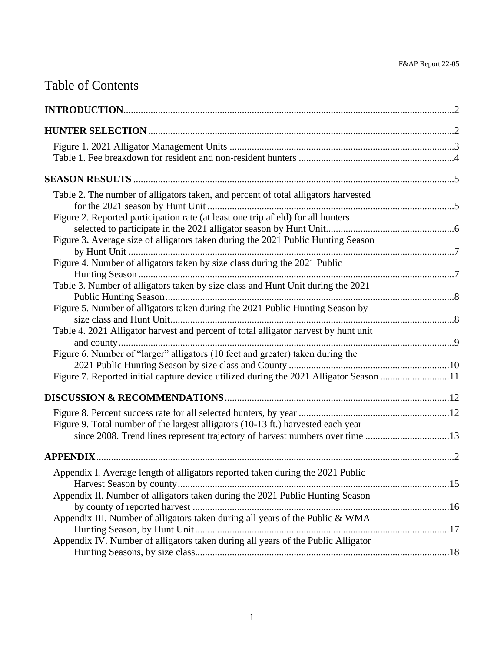## Table of Contents

| Table 2. The number of alligators taken, and percent of total alligators harvested     |  |
|----------------------------------------------------------------------------------------|--|
|                                                                                        |  |
| Figure 2. Reported participation rate (at least one trip afield) for all hunters       |  |
|                                                                                        |  |
| Figure 3. Average size of alligators taken during the 2021 Public Hunting Season       |  |
|                                                                                        |  |
| Figure 4. Number of alligators taken by size class during the 2021 Public              |  |
|                                                                                        |  |
| Table 3. Number of alligators taken by size class and Hunt Unit during the 2021        |  |
| Figure 5. Number of alligators taken during the 2021 Public Hunting Season by          |  |
|                                                                                        |  |
| Table 4. 2021 Alligator harvest and percent of total alligator harvest by hunt unit    |  |
|                                                                                        |  |
| Figure 6. Number of "larger" alligators (10 feet and greater) taken during the         |  |
|                                                                                        |  |
| Figure 7. Reported initial capture device utilized during the 2021 Alligator Season 11 |  |
|                                                                                        |  |
|                                                                                        |  |
| Figure 9. Total number of the largest alligators (10-13 ft.) harvested each year       |  |
| since 2008. Trend lines represent trajectory of harvest numbers over time 13           |  |
|                                                                                        |  |
|                                                                                        |  |
| Appendix I. Average length of alligators reported taken during the 2021 Public         |  |
| Appendix II. Number of alligators taken during the 2021 Public Hunting Season          |  |
|                                                                                        |  |
| Appendix III. Number of alligators taken during all years of the Public & WMA          |  |
|                                                                                        |  |
| Appendix IV. Number of alligators taken during all years of the Public Alligator       |  |
|                                                                                        |  |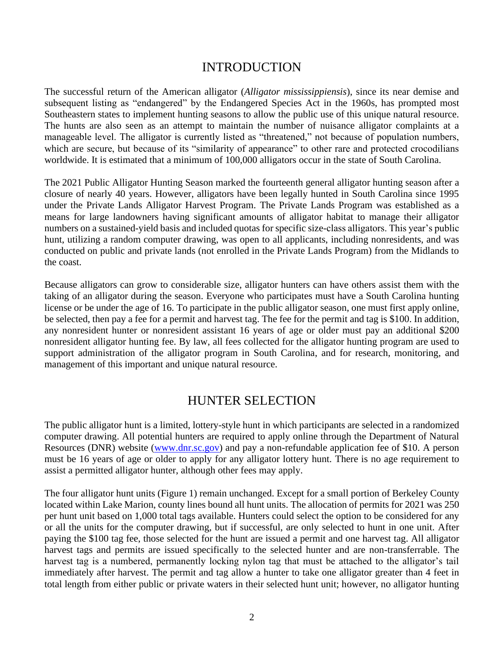#### INTRODUCTION

The successful return of the American alligator (*Alligator mississippiensis*), since its near demise and subsequent listing as "endangered" by the Endangered Species Act in the 1960s, has prompted most Southeastern states to implement hunting seasons to allow the public use of this unique natural resource. The hunts are also seen as an attempt to maintain the number of nuisance alligator complaints at a manageable level. The alligator is currently listed as "threatened," not because of population numbers, which are secure, but because of its "similarity of appearance" to other rare and protected crocodilians worldwide. It is estimated that a minimum of 100,000 alligators occur in the state of South Carolina.

The 2021 Public Alligator Hunting Season marked the fourteenth general alligator hunting season after a closure of nearly 40 years. However, alligators have been legally hunted in South Carolina since 1995 under the Private Lands Alligator Harvest Program. The Private Lands Program was established as a means for large landowners having significant amounts of alligator habitat to manage their alligator numbers on a sustained-yield basis and included quotas for specific size-class alligators. This year's public hunt, utilizing a random computer drawing, was open to all applicants, including nonresidents, and was conducted on public and private lands (not enrolled in the Private Lands Program) from the Midlands to the coast.

Because alligators can grow to considerable size, alligator hunters can have others assist them with the taking of an alligator during the season. Everyone who participates must have a South Carolina hunting license or be under the age of 16. To participate in the public alligator season, one must first apply online, be selected, then pay a fee for a permit and harvest tag. The fee for the permit and tag is \$100. In addition, any nonresident hunter or nonresident assistant 16 years of age or older must pay an additional \$200 nonresident alligator hunting fee. By law, all fees collected for the alligator hunting program are used to support administration of the alligator program in South Carolina, and for research, monitoring, and management of this important and unique natural resource.

#### HUNTER SELECTION

The public alligator hunt is a limited, lottery-style hunt in which participants are selected in a randomized computer drawing. All potential hunters are required to apply online through the Department of Natural Resources (DNR) website [\(www.dnr.sc.gov\)](http://www.dnr.sc.gov/) and pay a non-refundable application fee of \$10. A person must be 16 years of age or older to apply for any alligator lottery hunt. There is no age requirement to assist a permitted alligator hunter, although other fees may apply.

The four alligator hunt units (Figure 1) remain unchanged. Except for a small portion of Berkeley County located within Lake Marion, county lines bound all hunt units. The allocation of permits for 2021 was 250 per hunt unit based on 1,000 total tags available. Hunters could select the option to be considered for any or all the units for the computer drawing, but if successful, are only selected to hunt in one unit. After paying the \$100 tag fee, those selected for the hunt are issued a permit and one harvest tag. All alligator harvest tags and permits are issued specifically to the selected hunter and are non-transferrable. The harvest tag is a numbered, permanently locking nylon tag that must be attached to the alligator's tail immediately after harvest. The permit and tag allow a hunter to take one alligator greater than 4 feet in total length from either public or private waters in their selected hunt unit; however, no alligator hunting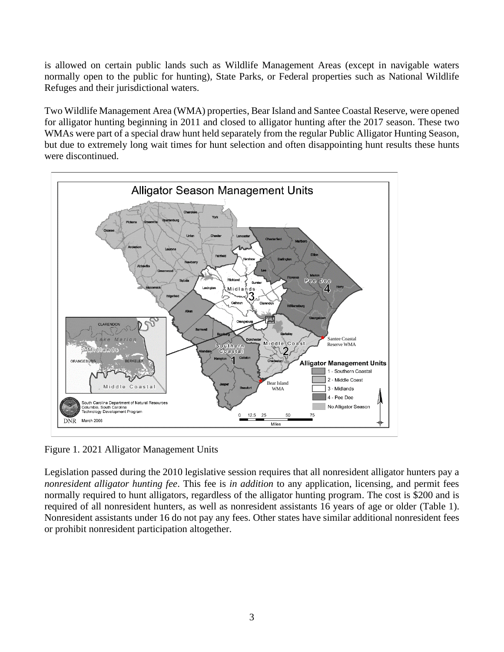is allowed on certain public lands such as Wildlife Management Areas (except in navigable waters normally open to the public for hunting), State Parks, or Federal properties such as National Wildlife Refuges and their jurisdictional waters.

Two Wildlife Management Area (WMA) properties, Bear Island and Santee Coastal Reserve, were opened for alligator hunting beginning in 2011 and closed to alligator hunting after the 2017 season. These two WMAs were part of a special draw hunt held separately from the regular Public Alligator Hunting Season, but due to extremely long wait times for hunt selection and often disappointing hunt results these hunts were discontinued.



Figure 1. 2021 Alligator Management Units

Legislation passed during the 2010 legislative session requires that all nonresident alligator hunters pay a *nonresident alligator hunting fee*. This fee is *in addition* to any application, licensing, and permit fees normally required to hunt alligators, regardless of the alligator hunting program. The cost is \$200 and is required of all nonresident hunters, as well as nonresident assistants 16 years of age or older (Table 1). Nonresident assistants under 16 do not pay any fees. Other states have similar additional nonresident fees or prohibit nonresident participation altogether.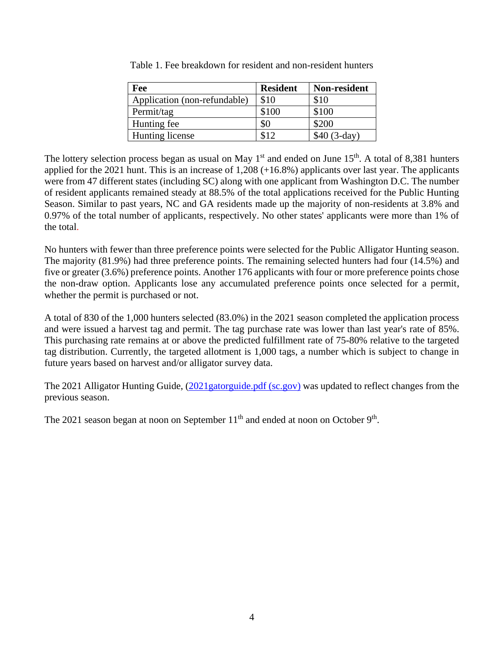| Fee                          | <b>Resident</b> | Non-resident  |
|------------------------------|-----------------|---------------|
| Application (non-refundable) | \$10            | \$10          |
| Permit/tag                   | \$100           | \$100         |
| Hunting fee                  | \$0             | \$200         |
| Hunting license              | \$12            | $$40 (3-day)$ |

Table 1. Fee breakdown for resident and non-resident hunters

The lottery selection process began as usual on May  $1<sup>st</sup>$  and ended on June  $15<sup>th</sup>$ . A total of 8,381 hunters applied for the 2021 hunt. This is an increase of 1,208 (+16.8%) applicants over last year. The applicants were from 47 different states (including SC) along with one applicant from Washington D.C. The number of resident applicants remained steady at 88.5% of the total applications received for the Public Hunting Season. Similar to past years, NC and GA residents made up the majority of non-residents at 3.8% and 0.97% of the total number of applicants, respectively. No other states' applicants were more than 1% of the total.

No hunters with fewer than three preference points were selected for the Public Alligator Hunting season. The majority (81.9%) had three preference points. The remaining selected hunters had four (14.5%) and five or greater (3.6%) preference points. Another 176 applicants with four or more preference points chose the non-draw option. Applicants lose any accumulated preference points once selected for a permit, whether the permit is purchased or not.

A total of 830 of the 1,000 hunters selected (83.0%) in the 2021 season completed the application process and were issued a harvest tag and permit. The tag purchase rate was lower than last year's rate of 85%. This purchasing rate remains at or above the predicted fulfillment rate of 75-80% relative to the targeted tag distribution. Currently, the targeted allotment is 1,000 tags, a number which is subject to change in future years based on harvest and/or alligator survey data.

The 2021 Alligator Hunting Guide, (2021 gatorguide.pdf (sc.gov) was updated to reflect changes from the previous season.

The 2021 season began at noon on September  $11<sup>th</sup>$  and ended at noon on October 9<sup>th</sup>.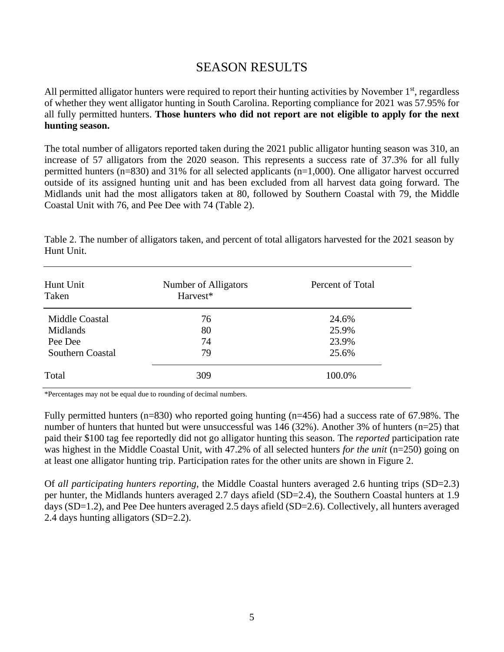#### SEASON RESULTS

All permitted alligator hunters were required to report their hunting activities by November  $1<sup>st</sup>$ , regardless of whether they went alligator hunting in South Carolina. Reporting compliance for 2021 was 57.95% for all fully permitted hunters. **Those hunters who did not report are not eligible to apply for the next hunting season.**

The total number of alligators reported taken during the 2021 public alligator hunting season was 310, an increase of 57 alligators from the 2020 season. This represents a success rate of 37.3% for all fully permitted hunters (n=830) and 31% for all selected applicants (n=1,000). One alligator harvest occurred outside of its assigned hunting unit and has been excluded from all harvest data going forward. The Midlands unit had the most alligators taken at 80, followed by Southern Coastal with 79, the Middle Coastal Unit with 76, and Pee Dee with 74 (Table 2).

| Hunt Unit<br>Taken | Number of Alligators<br>Harvest* | Percent of Total |
|--------------------|----------------------------------|------------------|
| Middle Coastal     | 76                               | 24.6%            |
| Midlands           | 80                               | 25.9%            |
| Pee Dee            | 74                               | 23.9%            |
| Southern Coastal   | 79                               | 25.6%            |
| Total              | 309                              | 100.0%           |

Table 2. The number of alligators taken, and percent of total alligators harvested for the 2021 season by Hunt Unit.

\*Percentages may not be equal due to rounding of decimal numbers.

Fully permitted hunters (n=830) who reported going hunting (n=456) had a success rate of 67.98%. The number of hunters that hunted but were unsuccessful was 146 (32%). Another 3% of hunters (n=25) that paid their \$100 tag fee reportedly did not go alligator hunting this season. The *reported* participation rate was highest in the Middle Coastal Unit, with 47.2% of all selected hunters *for the unit* (n=250) going on at least one alligator hunting trip. Participation rates for the other units are shown in Figure 2.

Of *all participating hunters reporting*, the Middle Coastal hunters averaged 2.6 hunting trips (SD=2.3) per hunter, the Midlands hunters averaged 2.7 days afield (SD=2.4), the Southern Coastal hunters at 1.9 days (SD=1.2), and Pee Dee hunters averaged 2.5 days afield (SD=2.6). Collectively, all hunters averaged 2.4 days hunting alligators (SD=2.2).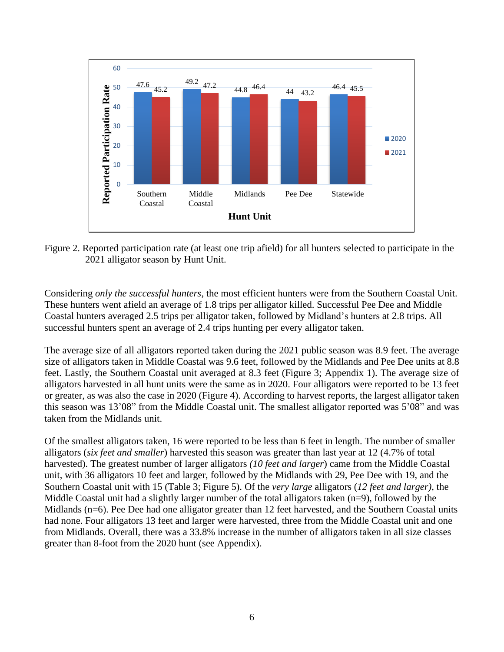

Figure 2. Reported participation rate (at least one trip afield) for all hunters selected to participate in the 2021 alligator season by Hunt Unit.

Considering *only the successful hunters*, the most efficient hunters were from the Southern Coastal Unit. These hunters went afield an average of 1.8 trips per alligator killed. Successful Pee Dee and Middle Coastal hunters averaged 2.5 trips per alligator taken, followed by Midland's hunters at 2.8 trips. All successful hunters spent an average of 2.4 trips hunting per every alligator taken.

The average size of all alligators reported taken during the 2021 public season was 8.9 feet. The average size of alligators taken in Middle Coastal was 9.6 feet, followed by the Midlands and Pee Dee units at 8.8 feet. Lastly, the Southern Coastal unit averaged at 8.3 feet (Figure 3; Appendix 1). The average size of alligators harvested in all hunt units were the same as in 2020. Four alligators were reported to be 13 feet or greater, as was also the case in 2020 (Figure 4). According to harvest reports, the largest alligator taken this season was 13'08" from the Middle Coastal unit. The smallest alligator reported was 5'08" and was taken from the Midlands unit.

Of the smallest alligators taken, 16 were reported to be less than 6 feet in length. The number of smaller alligators (*six feet and smaller*) harvested this season was greater than last year at 12 (4.7% of total harvested). The greatest number of larger alligators *(10 feet and larger*) came from the Middle Coastal unit, with 36 alligators 10 feet and larger, followed by the Midlands with 29, Pee Dee with 19, and the Southern Coastal unit with 15 (Table 3; Figure 5). Of the *very large* alligators (*12 feet and larger)*, the Middle Coastal unit had a slightly larger number of the total alligators taken (n=9), followed by the Midlands (n=6). Pee Dee had one alligator greater than 12 feet harvested, and the Southern Coastal units had none. Four alligators 13 feet and larger were harvested, three from the Middle Coastal unit and one from Midlands. Overall, there was a 33.8% increase in the number of alligators taken in all size classes greater than 8-foot from the 2020 hunt (see Appendix).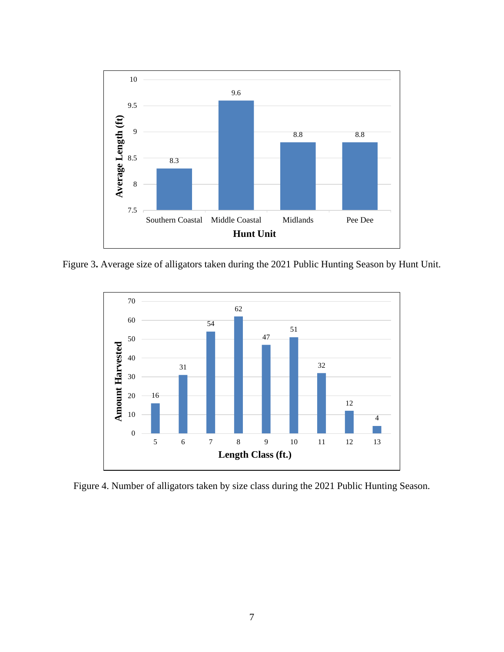

Figure 3**.** Average size of alligators taken during the 2021 Public Hunting Season by Hunt Unit.



Figure 4. Number of alligators taken by size class during the 2021 Public Hunting Season.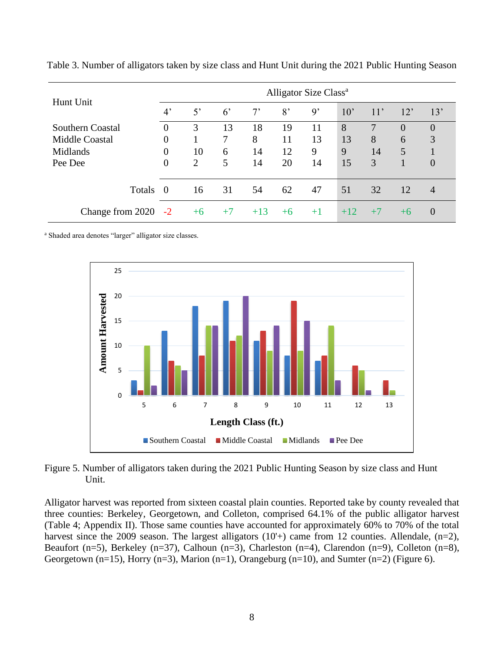| Hunt Unit             | Alligator Size Class <sup>a</sup> |      |             |       |                |                |              |      |          |                |
|-----------------------|-----------------------------------|------|-------------|-------|----------------|----------------|--------------|------|----------|----------------|
|                       | $4^{\circ}$                       | 5'   | $6^{\circ}$ | $7^,$ | 8 <sup>2</sup> | $\mathfrak{g}$ | $10^{\circ}$ | 11'  | 12'      | 13'            |
| Southern Coastal      | $\overline{0}$                    | 3    | 13          | 18    | 19             | 11             | 8            | 7    | $\theta$ | $\overline{0}$ |
| <b>Middle Coastal</b> | 0                                 |      | 7           | 8     | 11             | 13             | 13           | 8    | 6        | 3              |
| Midlands              | $\overline{0}$                    | 10   | 6           | 14    | 12             | 9              | 9            | 14   | 5        |                |
| Pee Dee               | $\overline{0}$                    | 2    | 5           | 14    | 20             | 14             | 15           | 3    |          | $\overline{0}$ |
| <b>Totals</b>         | $\theta$                          | 16   | 31          | 54    | 62             | 47             | 51           | 32   | 12       | $\overline{4}$ |
| Change from 2020      | $-2$                              | $+6$ | $+7$        | $+13$ | $+6$           | $+1$           | $+12$        | $+7$ | $+6$     | $\overline{0}$ |

Table 3. Number of alligators taken by size class and Hunt Unit during the 2021 Public Hunting Season

<sup>a</sup> Shaded area denotes "larger" alligator size classes.



Figure 5. Number of alligators taken during the 2021 Public Hunting Season by size class and Hunt Unit.

Alligator harvest was reported from sixteen coastal plain counties. Reported take by county revealed that three counties: Berkeley, Georgetown, and Colleton, comprised 64.1% of the public alligator harvest (Table 4; Appendix II). Those same counties have accounted for approximately 60% to 70% of the total harvest since the 2009 season. The largest alligators  $(10^{+})$  came from 12 counties. Allendale,  $(n=2)$ , Beaufort (n=5), Berkeley (n=37), Calhoun (n=3), Charleston (n=4), Clarendon (n=9), Colleton (n=8), Georgetown (n=15), Horry (n=3), Marion (n=1), Orangeburg (n=10), and Sumter (n=2) (Figure 6).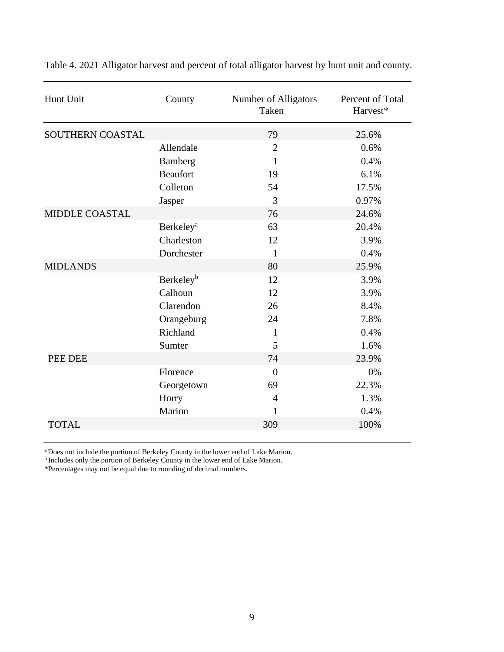| Hunt Unit             | County                       | Number of Alligators<br>Taken | Percent of Total<br>Harvest* |
|-----------------------|------------------------------|-------------------------------|------------------------------|
| SOUTHERN COASTAL      |                              | 79                            | 25.6%                        |
|                       | Allendale                    | $\overline{2}$                | 0.6%                         |
|                       | Bamberg                      | 1                             | 0.4%                         |
|                       | <b>Beaufort</b>              | 19                            | 6.1%                         |
|                       | Colleton                     | 54                            | 17.5%                        |
|                       | Jasper                       | 3                             | 0.97%                        |
| <b>MIDDLE COASTAL</b> |                              | 76                            | 24.6%                        |
|                       | <b>Berkeley</b> <sup>a</sup> | 63                            | 20.4%                        |
|                       | Charleston                   | 12                            | 3.9%                         |
|                       | Dorchester                   | 1                             | 0.4%                         |
| <b>MIDLANDS</b>       |                              | 80                            | 25.9%                        |
|                       | Berkeley <sup>b</sup>        | 12                            | 3.9%                         |
|                       | Calhoun                      | 12                            | 3.9%                         |
|                       | Clarendon                    | 26                            | 8.4%                         |
|                       | Orangeburg                   | 24                            | 7.8%                         |
|                       | Richland                     | $\mathbf{1}$                  | 0.4%                         |
|                       | Sumter                       | 5                             | 1.6%                         |
| PEE DEE               |                              | 74                            | 23.9%                        |
|                       | Florence                     | $\overline{0}$                | 0%                           |
|                       | Georgetown                   | 69                            | 22.3%                        |
|                       | Horry                        | $\overline{4}$                | 1.3%                         |
|                       | Marion                       | $\mathbf{1}$                  | 0.4%                         |
| <b>TOTAL</b>          |                              | 309                           | 100%                         |
|                       |                              |                               |                              |

Table 4. 2021 Alligator harvest and percent of total alligator harvest by hunt unit and county.

<sup>a</sup> Does not include the portion of Berkeley County in the lower end of Lake Marion.<br><sup>b</sup> Includes only the portion of Berkeley County in the lower end of Lake Marion.

\*Percentages may not be equal due to rounding of decimal numbers.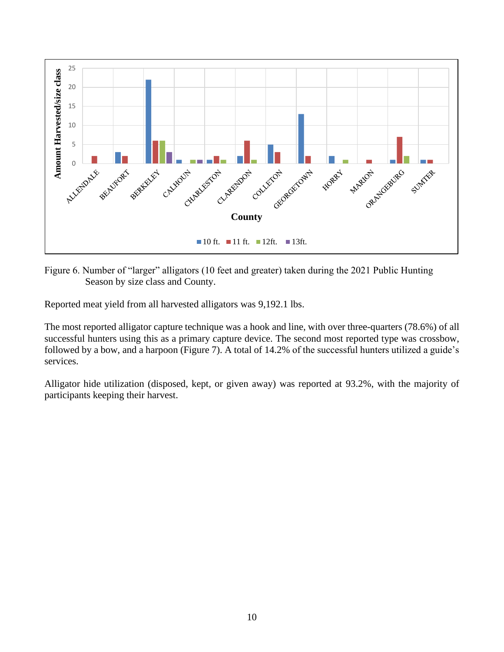

Figure 6. Number of "larger" alligators (10 feet and greater) taken during the 2021 Public Hunting Season by size class and County.

Reported meat yield from all harvested alligators was 9,192.1 lbs.

The most reported alligator capture technique was a hook and line, with over three-quarters (78.6%) of all successful hunters using this as a primary capture device. The second most reported type was crossbow, followed by a bow, and a harpoon (Figure 7). A total of 14.2% of the successful hunters utilized a guide's services.

Alligator hide utilization (disposed, kept, or given away) was reported at 93.2%, with the majority of participants keeping their harvest.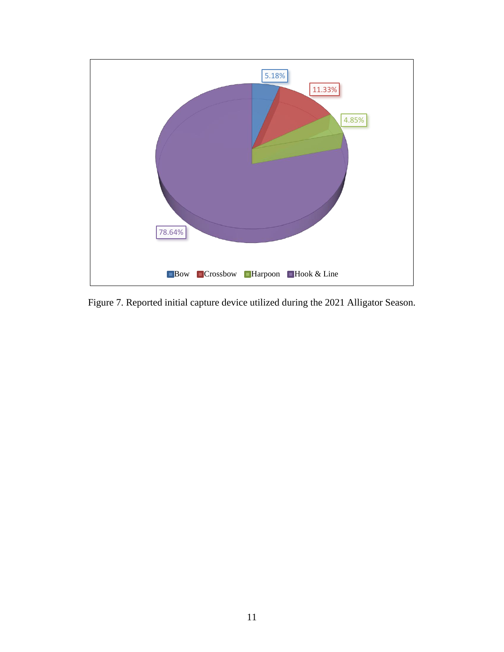

Figure 7. Reported initial capture device utilized during the 2021 Alligator Season.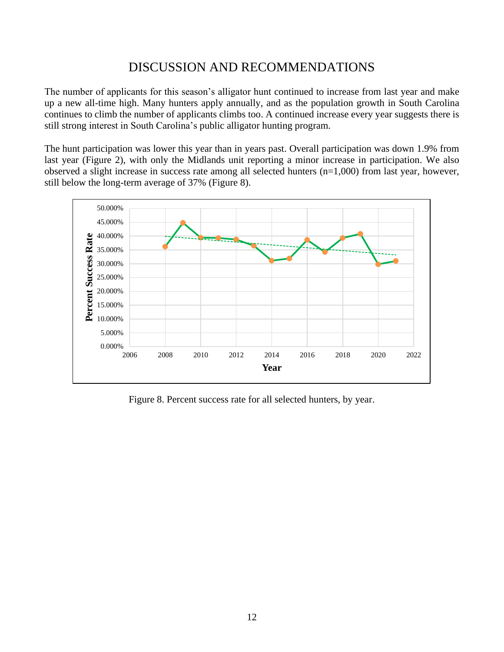#### DISCUSSION AND RECOMMENDATIONS

The number of applicants for this season's alligator hunt continued to increase from last year and make up a new all-time high. Many hunters apply annually, and as the population growth in South Carolina continues to climb the number of applicants climbs too. A continued increase every year suggests there is still strong interest in South Carolina's public alligator hunting program.

The hunt participation was lower this year than in years past. Overall participation was down 1.9% from last year (Figure 2), with only the Midlands unit reporting a minor increase in participation. We also observed a slight increase in success rate among all selected hunters (n=1,000) from last year, however, still below the long-term average of 37% (Figure 8).



Figure 8. Percent success rate for all selected hunters, by year.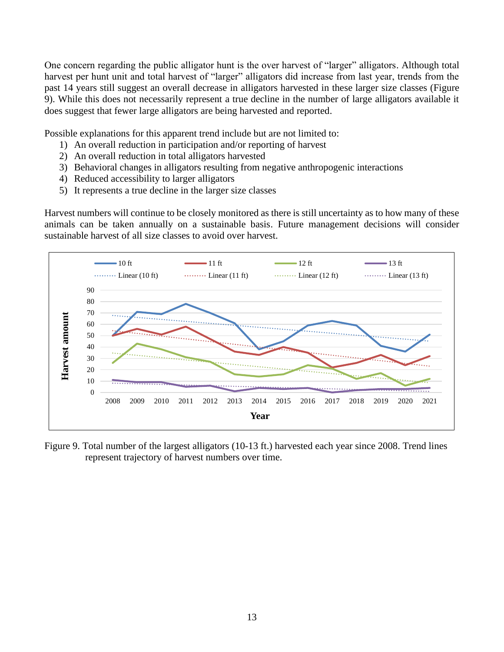One concern regarding the public alligator hunt is the over harvest of "larger" alligators. Although total harvest per hunt unit and total harvest of "larger" alligators did increase from last year, trends from the past 14 years still suggest an overall decrease in alligators harvested in these larger size classes (Figure 9). While this does not necessarily represent a true decline in the number of large alligators available it does suggest that fewer large alligators are being harvested and reported.

Possible explanations for this apparent trend include but are not limited to:

- 1) An overall reduction in participation and/or reporting of harvest
- 2) An overall reduction in total alligators harvested
- 3) Behavioral changes in alligators resulting from negative anthropogenic interactions
- 4) Reduced accessibility to larger alligators
- 5) It represents a true decline in the larger size classes

Harvest numbers will continue to be closely monitored as there is still uncertainty as to how many of these animals can be taken annually on a sustainable basis. Future management decisions will consider sustainable harvest of all size classes to avoid over harvest.



Figure 9. Total number of the largest alligators (10-13 ft.) harvested each year since 2008. Trend lines represent trajectory of harvest numbers over time.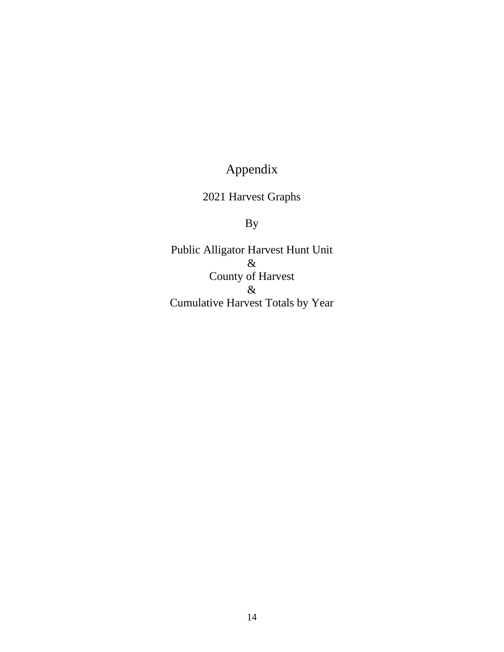# Appendix

### 2021 Harvest Graphs

## By

Public Alligator Harvest Hunt Unit & County of Harvest & Cumulative Harvest Totals by Year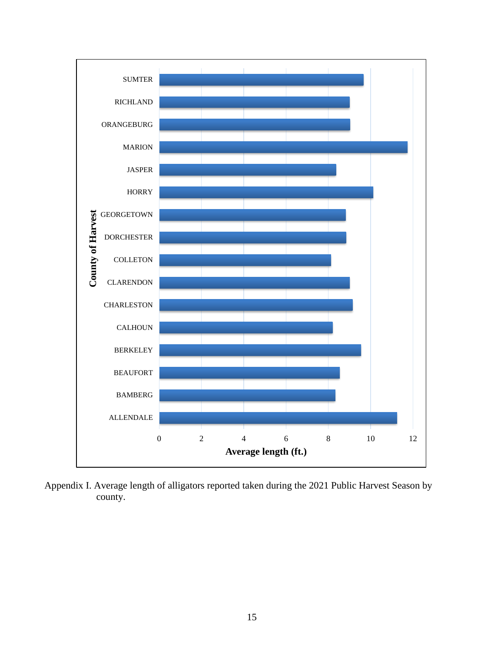

Appendix I. Average length of alligators reported taken during the 2021 Public Harvest Season by county.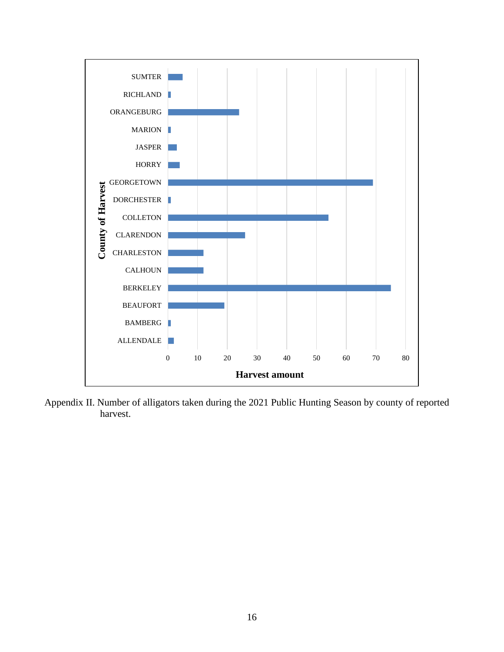

Appendix II. Number of alligators taken during the 2021 Public Hunting Season by county of reported harvest.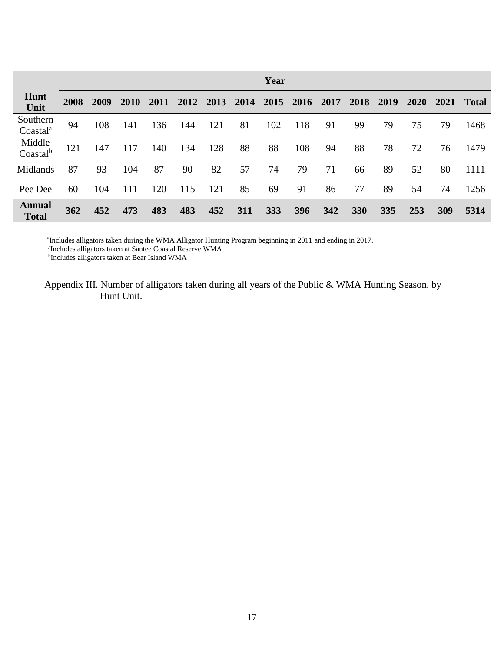|                                  | Year |      |      |      |      |      |      |     |                |     |      |      |             |      |              |
|----------------------------------|------|------|------|------|------|------|------|-----|----------------|-----|------|------|-------------|------|--------------|
| Hunt<br>Unit                     | 2008 | 2009 | 2010 | 2011 | 2012 | 2013 | 2014 |     | 2015 2016 2017 |     | 2018 | 2019 | <b>2020</b> | 2021 | <b>Total</b> |
| Southern<br>Coastal <sup>a</sup> | 94   | 108  | 141  | 136  | 144  | 121  | 81   | 102 | 118            | 91  | 99   | 79   | 75          | 79   | 1468         |
| Middle<br>Coastal <sup>b</sup>   | 121  | 147  | 117  | 140  | 134  | 128  | 88   | 88  | 108            | 94  | 88   | 78   | 72          | 76   | 1479         |
| Midlands                         | 87   | 93   | 104  | 87   | 90   | 82   | 57   | 74  | 79             | 71  | 66   | 89   | 52          | 80   | 1111         |
| Pee Dee                          | 60   | 104  | 111  | 120  | 115  | 121  | 85   | 69  | 91             | 86  | 77   | 89   | 54          | 74   | 1256         |
| <b>Annual</b><br><b>Total</b>    | 362  | 452  | 473  | 483  | 483  | 452  | 311  | 333 | 396            | 342 | 330  | 335  | 253         | 309  | 5314         |

\* Includes alligators taken during the WMA Alligator Hunting Program beginning in 2011 and ending in 2017. a Includes alligators taken at Santee Coastal Reserve WMA

b Includes alligators taken at Bear Island WMA

Appendix III. Number of alligators taken during all years of the Public & WMA Hunting Season, by Hunt Unit.